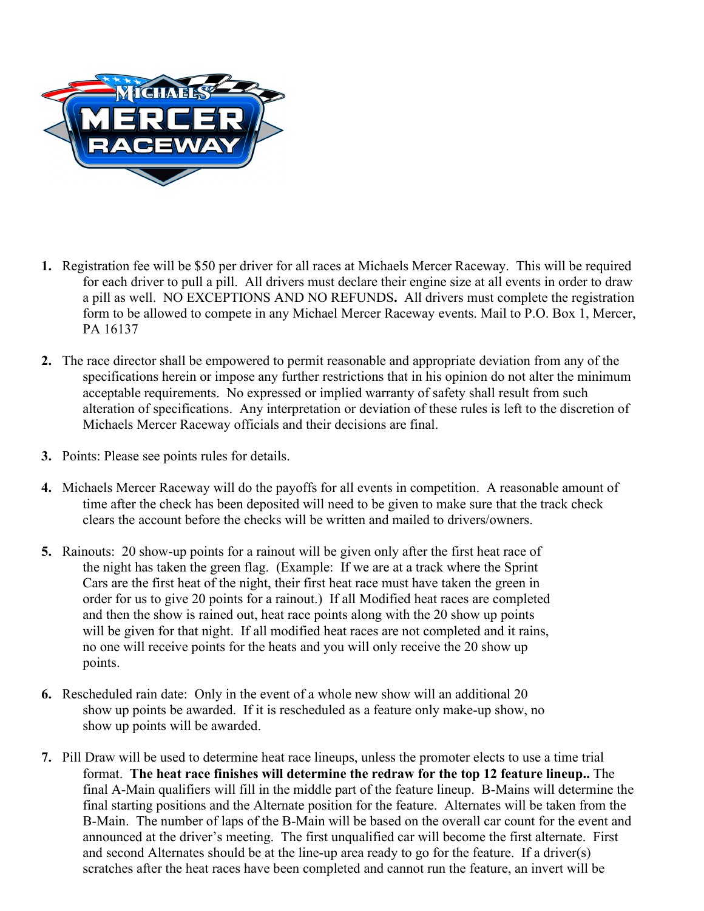

- **1.** Registration fee will be \$50 per driver for all races at Michaels Mercer Raceway. This will be required for each driver to pull a pill. All drivers must declare their engine size at all events in order to draw a pill as well. NO EXCEPTIONS AND NO REFUNDS**.** All drivers must complete the registration form to be allowed to compete in any Michael Mercer Raceway events. Mail to P.O. Box 1, Mercer, PA 16137
- **2.** The race director shall be empowered to permit reasonable and appropriate deviation from any of the specifications herein or impose any further restrictions that in his opinion do not alter the minimum acceptable requirements. No expressed or implied warranty of safety shall result from such alteration of specifications. Any interpretation or deviation of these rules is left to the discretion of Michaels Mercer Raceway officials and their decisions are final.
- **3.** Points: Please see points rules for details.
- **4.** Michaels Mercer Raceway will do the payoffs for all events in competition. A reasonable amount of time after the check has been deposited will need to be given to make sure that the track check clears the account before the checks will be written and mailed to drivers/owners.
- **5.** Rainouts:20 show-up points for a rainout will be given only after the first heat race of the night has taken the green flag. (Example: If we are at a track where the Sprint Cars are the first heat of the night, their first heat race must have taken the green in order for us to give 20 points for a rainout.) If all Modified heat races are completed and then the show is rained out, heat race points along with the 20 show up points will be given for that night. If all modified heat races are not completed and it rains, no one will receive points for the heats and you will only receive the 20 show up points.
- **6.** Rescheduled rain date: Only in the event of a whole new show will an additional 20 show up points be awarded. If it is rescheduled as a feature only make-up show, no show up points will be awarded.
- **7.** Pill Draw will be used to determine heat race lineups, unless the promoter elects to use a time trial format. **The heat race finishes will determine the redraw for the top 12 feature lineup..** The final A-Main qualifiers will fill in the middle part of the feature lineup. B-Mains will determine the final starting positions and the Alternate position for the feature. Alternates will be taken from the B-Main. The number of laps of the B-Main will be based on the overall car count for the event and announced at the driver's meeting.The first unqualified car will become the first alternate. First and second Alternates should be at the line-up area ready to go for the feature. If a driver(s) scratches after the heat races have been completed and cannot run the feature, an invert will be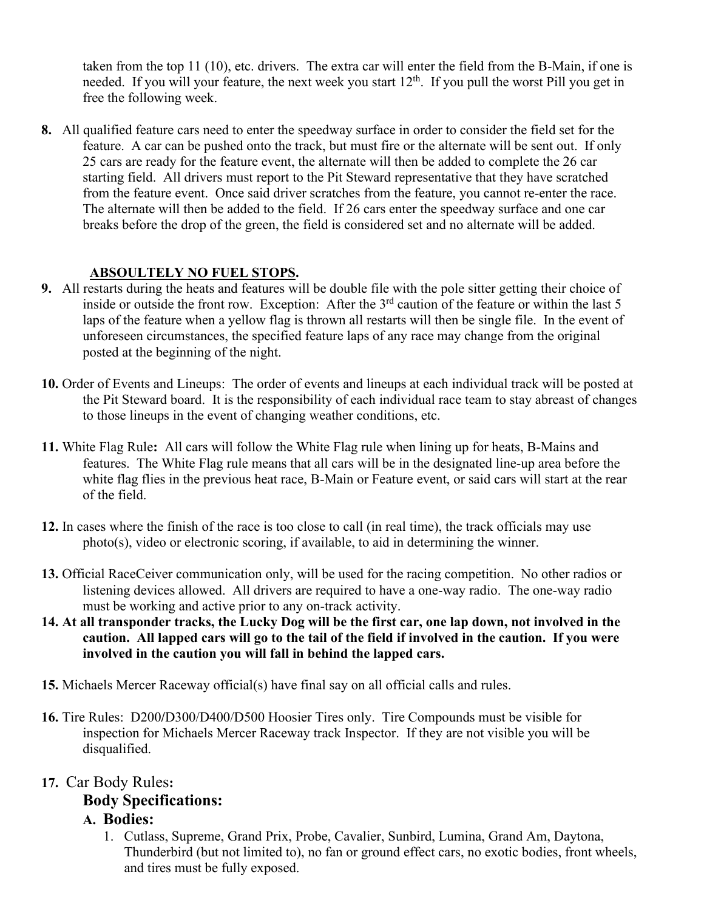taken from the top 11 (10), etc. drivers. The extra car will enter the field from the B-Main, if one is needed. If you will your feature, the next week you start 12<sup>th</sup>. If you pull the worst Pill you get in free the following week.

**8.** All qualified feature cars need to enter the speedway surface in order to consider the field set for the feature. A car can be pushed onto the track, but must fire or the alternate will be sent out. If only 25 cars are ready for the feature event, the alternate will then be added to complete the 26 car starting field. All drivers must report to the Pit Steward representative that they have scratched from the feature event. Once said driver scratches from the feature, you cannot re-enter the race. The alternate will then be added to the field. If 26 cars enter the speedway surface and one car breaks before the drop of the green, the field is considered set and no alternate will be added.

### **ABSOULTELY NO FUEL STOPS.**

- **9.** All restarts during the heats and features will be double file with the pole sitter getting their choice of inside or outside the front row. Exception: After the 3<sup>rd</sup> caution of the feature or within the last 5 laps of the feature when a yellow flag is thrown all restarts will then be single file. In the event of unforeseen circumstances, the specified feature laps of any race may change from the original posted at the beginning of the night.
- **10.** Order of Events and Lineups: The order of events and lineups at each individual track will be posted at the Pit Steward board. It is the responsibility of each individual race team to stay abreast of changes to those lineups in the event of changing weather conditions, etc.
- **11.** White Flag Rule**:** All cars will follow the White Flag rule when lining up for heats, B-Mains and features. The White Flag rule means that all cars will be in the designated line-up area before the white flag flies in the previous heat race, B-Main or Feature event, or said cars will start at the rear of the field.
- **12.** In cases where the finish of the race is too close to call (in real time), the track officials may use photo(s), video or electronic scoring, if available, to aid in determining the winner.
- **13.** Official RaceCeiver communication only, will be used for the racing competition. No other radios or listening devices allowed. All drivers are required to have a one-way radio. The one-way radio must be working and active prior to any on-track activity.
- **14. At all transponder tracks, the Lucky Dog will be the first car, one lap down, not involved in the caution. All lapped cars will go to the tail of the field if involved in the caution. If you were involved in the caution you will fall in behind the lapped cars.**
- **15.** Michaels Mercer Raceway official(s) have final say on all official calls and rules.
- **16.** Tire Rules: D200**/**D300/D400/D500 Hoosier Tires only. Tire Compounds must be visible for inspection for Michaels Mercer Raceway track Inspector. If they are not visible you will be disqualified.

#### **17.** Car Body Rules**:**

# **Body Specifications:**

# **A. Bodies:**

1. Cutlass, Supreme, Grand Prix, Probe, Cavalier, Sunbird, Lumina, Grand Am, Daytona, Thunderbird (but not limited to), no fan or ground effect cars, no exotic bodies, front wheels, and tires must be fully exposed.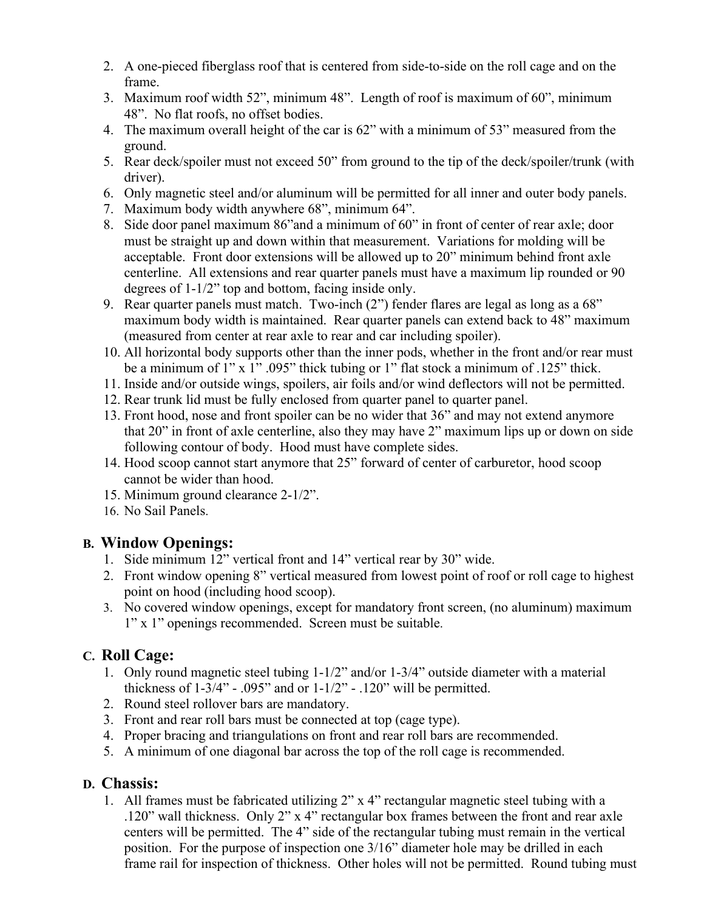- 2. A one-pieced fiberglass roof that is centered from side-to-side on the roll cage and on the frame.
- 3. Maximum roof width 52", minimum 48". Length of roof is maximum of 60", minimum 48". No flat roofs, no offset bodies.
- 4. The maximum overall height of the car is 62" with a minimum of 53" measured from the ground.
- 5. Rear deck/spoiler must not exceed 50" from ground to the tip of the deck/spoiler/trunk (with driver).
- 6. Only magnetic steel and/or aluminum will be permitted for all inner and outer body panels.
- 7. Maximum body width anywhere 68", minimum 64".
- 8. Side door panel maximum 86"and a minimum of 60" in front of center of rear axle; door must be straight up and down within that measurement. Variations for molding will be acceptable. Front door extensions will be allowed up to 20" minimum behind front axle centerline. All extensions and rear quarter panels must have a maximum lip rounded or 90 degrees of 1-1/2" top and bottom, facing inside only.
- 9. Rear quarter panels must match. Two-inch (2") fender flares are legal as long as a 68" maximum body width is maintained. Rear quarter panels can extend back to 48" maximum (measured from center at rear axle to rear and car including spoiler).
- 10. All horizontal body supports other than the inner pods, whether in the front and/or rear must be a minimum of  $1" x 1" .095"$  thick tubing or 1" flat stock a minimum of .125" thick.
- 11. Inside and/or outside wings, spoilers, air foils and/or wind deflectors will not be permitted.
- 12. Rear trunk lid must be fully enclosed from quarter panel to quarter panel.
- 13. Front hood, nose and front spoiler can be no wider that 36" and may not extend anymore that 20" in front of axle centerline, also they may have 2" maximum lips up or down on side following contour of body. Hood must have complete sides.
- 14. Hood scoop cannot start anymore that 25" forward of center of carburetor, hood scoop cannot be wider than hood.
- 15. Minimum ground clearance 2-1/2".
- 16. No Sail Panels.

# **B. Window Openings:**

- 1. Side minimum 12" vertical front and 14" vertical rear by 30" wide.
- 2. Front window opening 8" vertical measured from lowest point of roof or roll cage to highest point on hood (including hood scoop).
- 3. No covered window openings, except for mandatory front screen, (no aluminum) maximum 1" x 1" openings recommended. Screen must be suitable.

# **C. Roll Cage:**

- 1. Only round magnetic steel tubing 1-1/2" and/or 1-3/4" outside diameter with a material thickness of  $1-3/4$ " - .095" and or  $1-1/2$ " - .120" will be permitted.
- 2. Round steel rollover bars are mandatory.
- 3. Front and rear roll bars must be connected at top (cage type).
- 4. Proper bracing and triangulations on front and rear roll bars are recommended.
- 5. A minimum of one diagonal bar across the top of the roll cage is recommended.

# **D. Chassis:**

1. All frames must be fabricated utilizing 2" x 4" rectangular magnetic steel tubing with a .120" wall thickness. Only 2" x 4" rectangular box frames between the front and rear axle centers will be permitted. The 4" side of the rectangular tubing must remain in the vertical position. For the purpose of inspection one 3/16" diameter hole may be drilled in each frame rail for inspection of thickness. Other holes will not be permitted. Round tubing must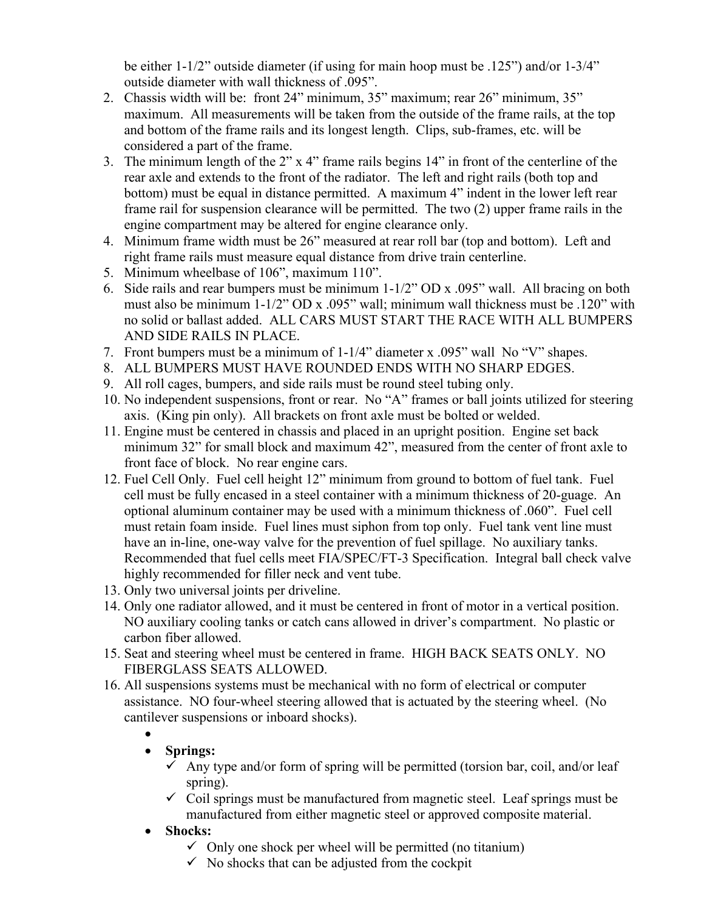be either 1-1/2" outside diameter (if using for main hoop must be .125") and/or 1-3/4" outside diameter with wall thickness of .095".

- 2. Chassis width will be: front 24" minimum, 35" maximum; rear 26" minimum, 35" maximum. All measurements will be taken from the outside of the frame rails, at the top and bottom of the frame rails and its longest length. Clips, sub-frames, etc. will be considered a part of the frame.
- 3. The minimum length of the 2" x 4" frame rails begins 14" in front of the centerline of the rear axle and extends to the front of the radiator. The left and right rails (both top and bottom) must be equal in distance permitted. A maximum 4" indent in the lower left rear frame rail for suspension clearance will be permitted. The two (2) upper frame rails in the engine compartment may be altered for engine clearance only.
- 4. Minimum frame width must be 26" measured at rear roll bar (top and bottom). Left and right frame rails must measure equal distance from drive train centerline.
- 5. Minimum wheelbase of 106", maximum 110".
- 6. Side rails and rear bumpers must be minimum 1-1/2" OD x .095" wall. All bracing on both must also be minimum 1-1/2" OD x .095" wall; minimum wall thickness must be .120" with no solid or ballast added. ALL CARS MUST START THE RACE WITH ALL BUMPERS AND SIDE RAILS IN PLACE.
- 7. Front bumpers must be a minimum of 1-1/4" diameter x .095" wall No "V" shapes.
- 8. ALL BUMPERS MUST HAVE ROUNDED ENDS WITH NO SHARP EDGES.
- 9. All roll cages, bumpers, and side rails must be round steel tubing only.
- 10. No independent suspensions, front or rear. No "A" frames or ball joints utilized for steering axis. (King pin only). All brackets on front axle must be bolted or welded.
- 11. Engine must be centered in chassis and placed in an upright position. Engine set back minimum 32" for small block and maximum 42", measured from the center of front axle to front face of block. No rear engine cars.
- 12. Fuel Cell Only. Fuel cell height 12" minimum from ground to bottom of fuel tank. Fuel cell must be fully encased in a steel container with a minimum thickness of 20-guage. An optional aluminum container may be used with a minimum thickness of .060". Fuel cell must retain foam inside. Fuel lines must siphon from top only. Fuel tank vent line must have an in-line, one-way valve for the prevention of fuel spillage. No auxiliary tanks. Recommended that fuel cells meet FIA/SPEC/FT-3 Specification. Integral ball check valve highly recommended for filler neck and vent tube.
- 13. Only two universal joints per driveline.
- 14. Only one radiator allowed, and it must be centered in front of motor in a vertical position. NO auxiliary cooling tanks or catch cans allowed in driver's compartment. No plastic or carbon fiber allowed.
- 15. Seat and steering wheel must be centered in frame. HIGH BACK SEATS ONLY. NO FIBERGLASS SEATS ALLOWED.
- 16. All suspensions systems must be mechanical with no form of electrical or computer assistance. NO four-wheel steering allowed that is actuated by the steering wheel. (No cantilever suspensions or inboard shocks).
	- •

# • **Springs:**

- $\checkmark$  Any type and/or form of spring will be permitted (torsion bar, coil, and/or leaf spring).
- $\checkmark$  Coil springs must be manufactured from magnetic steel. Leaf springs must be manufactured from either magnetic steel or approved composite material.
- **Shocks:**
	- $\checkmark$  Only one shock per wheel will be permitted (no titanium)
	- $\checkmark$  No shocks that can be adjusted from the cockpit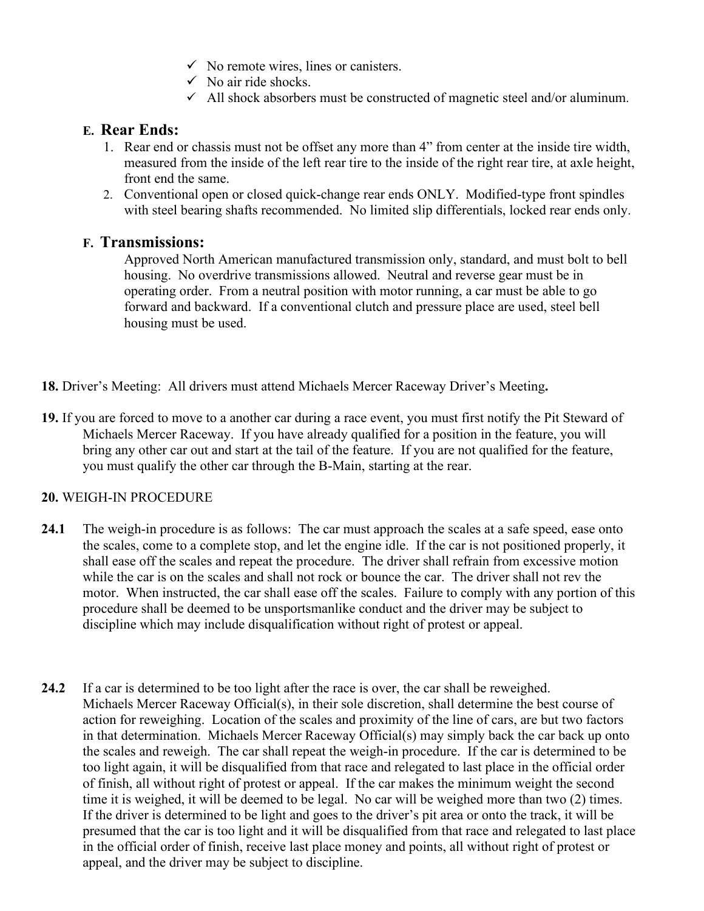- $\checkmark$  No remote wires, lines or canisters.
- $\checkmark$  No air ride shocks.
- $\checkmark$  All shock absorbers must be constructed of magnetic steel and/or aluminum.

### **E. Rear Ends:**

- 1. Rear end or chassis must not be offset any more than 4" from center at the inside tire width, measured from the inside of the left rear tire to the inside of the right rear tire, at axle height, front end the same.
- 2. Conventional open or closed quick-change rear ends ONLY. Modified-type front spindles with steel bearing shafts recommended. No limited slip differentials, locked rear ends only.

### **F. Transmissions:**

Approved North American manufactured transmission only, standard, and must bolt to bell housing. No overdrive transmissions allowed. Neutral and reverse gear must be in operating order. From a neutral position with motor running, a car must be able to go forward and backward. If a conventional clutch and pressure place are used, steel bell housing must be used.

- **18.** Driver's Meeting: All drivers must attend Michaels Mercer Raceway Driver's Meeting**.**
- **19.** If you are forced to move to a another car during a race event, you must first notify the Pit Steward of Michaels Mercer Raceway. If you have already qualified for a position in the feature, you will bring any other car out and start at the tail of the feature. If you are not qualified for the feature, you must qualify the other car through the B-Main, starting at the rear.

#### **20.** WEIGH-IN PROCEDURE

- **24.1** The weigh-in procedure is as follows: The car must approach the scales at a safe speed, ease onto the scales, come to a complete stop, and let the engine idle. If the car is not positioned properly, it shall ease off the scales and repeat the procedure. The driver shall refrain from excessive motion while the car is on the scales and shall not rock or bounce the car. The driver shall not rev the motor. When instructed, the car shall ease off the scales. Failure to comply with any portion of this procedure shall be deemed to be unsportsmanlike conduct and the driver may be subject to discipline which may include disqualification without right of protest or appeal.
- **24.2** If a car is determined to be too light after the race is over, the car shall be reweighed. Michaels Mercer Raceway Official(s), in their sole discretion, shall determine the best course of action for reweighing. Location of the scales and proximity of the line of cars, are but two factors in that determination. Michaels Mercer Raceway Official(s) may simply back the car back up onto the scales and reweigh. The car shall repeat the weigh-in procedure. If the car is determined to be too light again, it will be disqualified from that race and relegated to last place in the official order of finish, all without right of protest or appeal. If the car makes the minimum weight the second time it is weighed, it will be deemed to be legal. No car will be weighed more than two (2) times. If the driver is determined to be light and goes to the driver's pit area or onto the track, it will be presumed that the car is too light and it will be disqualified from that race and relegated to last place in the official order of finish, receive last place money and points, all without right of protest or appeal, and the driver may be subject to discipline.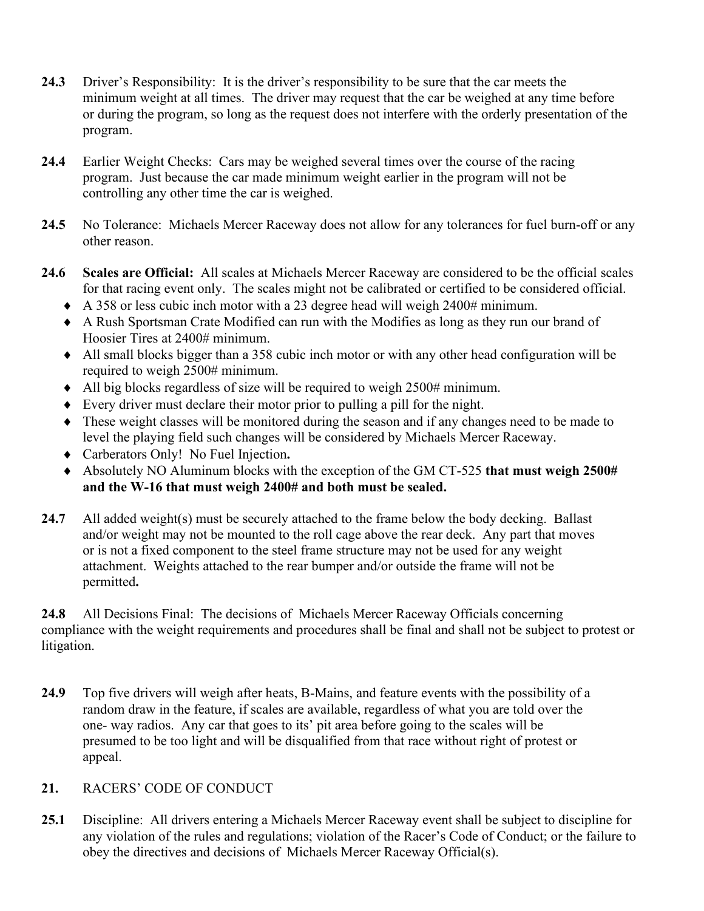- **24.3** Driver's Responsibility: It is the driver's responsibility to be sure that the car meets the minimum weight at all times. The driver may request that the car be weighed at any time before or during the program, so long as the request does not interfere with the orderly presentation of the program.
- **24.4** Earlier Weight Checks: Cars may be weighed several times over the course of the racing program. Just because the car made minimum weight earlier in the program will not be controlling any other time the car is weighed.
- **24.5** No Tolerance: Michaels Mercer Raceway does not allow for any tolerances for fuel burn-off or any other reason.
- **24.6 Scales are Official:** All scales at Michaels Mercer Raceway are considered to be the official scales for that racing event only. The scales might not be calibrated or certified to be considered official.
	- ♦ A 358 or less cubic inch motor with a 23 degree head will weigh 2400# minimum.
	- ♦ A Rush Sportsman Crate Modified can run with the Modifies as long as they run our brand of Hoosier Tires at 2400# minimum.
	- ♦ All small blocks bigger than a 358 cubic inch motor or with any other head configuration will be required to weigh 2500# minimum.
	- ♦ All big blocks regardless of size will be required to weigh 2500# minimum.
	- ♦ Every driver must declare their motor prior to pulling a pill for the night.
	- ♦ These weight classes will be monitored during the season and if any changes need to be made to level the playing field such changes will be considered by Michaels Mercer Raceway.
	- ♦ Carberators Only! No Fuel Injection**.**
	- ♦ Absolutely NO Aluminum blocks with the exception of the GM CT-525 **that must weigh 2500# and the W-16 that must weigh 2400# and both must be sealed.**
- **24.7** All added weight(s) must be securely attached to the frame below the body decking. Ballast and/or weight may not be mounted to the roll cage above the rear deck. Any part that moves or is not a fixed component to the steel frame structure may not be used for any weight attachment. Weights attached to the rear bumper and/or outside the frame will not be permitted**.**

**24.8** All Decisions Final: The decisions of Michaels Mercer Raceway Officials concerning compliance with the weight requirements and procedures shall be final and shall not be subject to protest or litigation.

**24.9** Top five drivers will weigh after heats, B-Mains, and feature events with the possibility of a random draw in the feature, if scales are available, regardless of what you are told over the one- way radios. Any car that goes to its' pit area before going to the scales will be presumed to be too light and will be disqualified from that race without right of protest or appeal.

#### **21.** RACERS' CODE OF CONDUCT

**25.1** Discipline: All drivers entering a Michaels Mercer Raceway event shall be subject to discipline for any violation of the rules and regulations; violation of the Racer's Code of Conduct; or the failure to obey the directives and decisions of Michaels Mercer Raceway Official(s).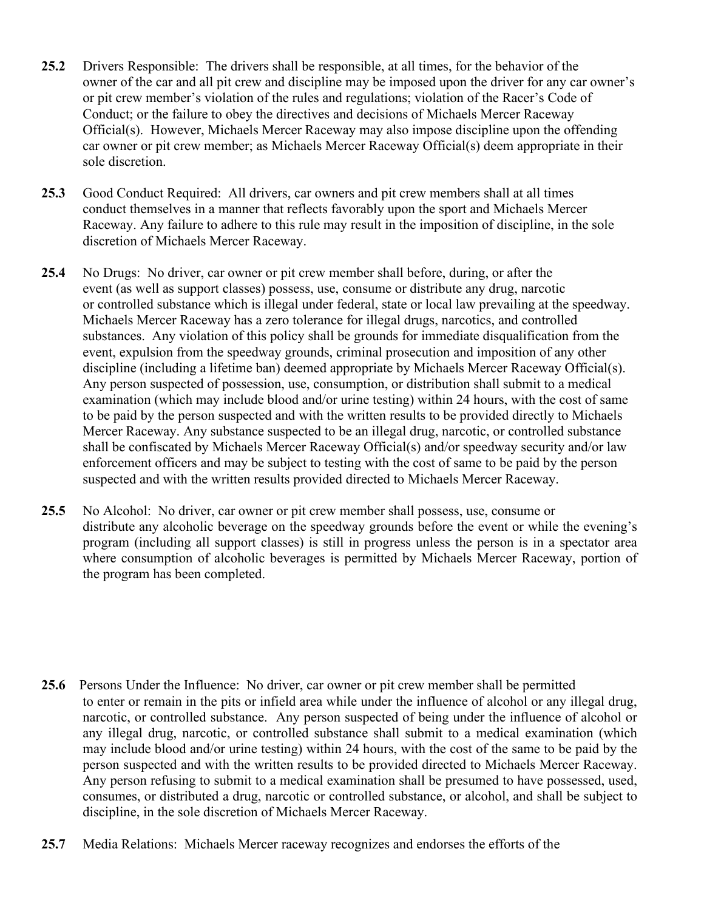- **25.2** Drivers Responsible: The drivers shall be responsible, at all times, for the behavior of the owner of the car and all pit crew and discipline may be imposed upon the driver for any car owner's or pit crew member's violation of the rules and regulations; violation of the Racer's Code of Conduct; or the failure to obey the directives and decisions of Michaels Mercer Raceway Official(s). However, Michaels Mercer Raceway may also impose discipline upon the offending car owner or pit crew member; as Michaels Mercer Raceway Official(s) deem appropriate in their sole discretion.
- **25.3** Good Conduct Required: All drivers, car owners and pit crew members shall at all times conduct themselves in a manner that reflects favorably upon the sport and Michaels Mercer Raceway. Any failure to adhere to this rule may result in the imposition of discipline, in the sole discretion of Michaels Mercer Raceway.
- **25.4** No Drugs: No driver, car owner or pit crew member shall before, during, or after the event (as well as support classes) possess, use, consume or distribute any drug, narcotic or controlled substance which is illegal under federal, state or local law prevailing at the speedway. Michaels Mercer Raceway has a zero tolerance for illegal drugs, narcotics, and controlled substances. Any violation of this policy shall be grounds for immediate disqualification from the event, expulsion from the speedway grounds, criminal prosecution and imposition of any other discipline (including a lifetime ban) deemed appropriate by Michaels Mercer Raceway Official(s). Any person suspected of possession, use, consumption, or distribution shall submit to a medical examination (which may include blood and/or urine testing) within 24 hours, with the cost of same to be paid by the person suspected and with the written results to be provided directly to Michaels Mercer Raceway. Any substance suspected to be an illegal drug, narcotic, or controlled substance shall be confiscated by Michaels Mercer Raceway Official(s) and/or speedway security and/or law enforcement officers and may be subject to testing with the cost of same to be paid by the person suspected and with the written results provided directed to Michaels Mercer Raceway.
- **25.5** No Alcohol: No driver, car owner or pit crew member shall possess, use, consume or distribute any alcoholic beverage on the speedway grounds before the event or while the evening's program (including all support classes) is still in progress unless the person is in a spectator area where consumption of alcoholic beverages is permitted by Michaels Mercer Raceway, portion of the program has been completed.

- **25.6** Persons Under the Influence: No driver, car owner or pit crew member shall be permitted to enter or remain in the pits or infield area while under the influence of alcohol or any illegal drug, narcotic, or controlled substance. Any person suspected of being under the influence of alcohol or any illegal drug, narcotic, or controlled substance shall submit to a medical examination (which may include blood and/or urine testing) within 24 hours, with the cost of the same to be paid by the person suspected and with the written results to be provided directed to Michaels Mercer Raceway. Any person refusing to submit to a medical examination shall be presumed to have possessed, used, consumes, or distributed a drug, narcotic or controlled substance, or alcohol, and shall be subject to discipline, in the sole discretion of Michaels Mercer Raceway.
- **25.7** Media Relations: Michaels Mercer raceway recognizes and endorses the efforts of the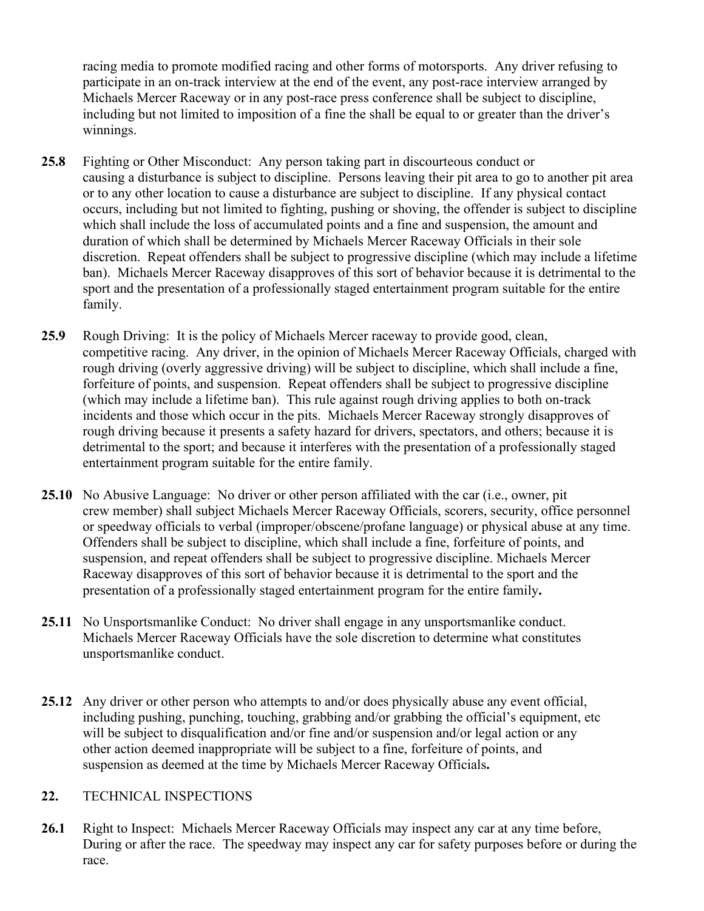racing media to promote modified racing and other forms of motorsports. Any driver refusing to participate in an on-track interview at the end of the event, any post-race interview arranged by Michaels Mercer Raceway or in any post-race press conference shall be subject to discipline, including but not limited to imposition of a fine the shall be equal to or greater than the driver's winnings.

- **25.8** Fighting or Other Misconduct: Any person taking part in discourteous conduct or causing a disturbance is subject to discipline. Persons leaving their pit area to go to another pit area or to any other location to cause a disturbance are subject to discipline. If any physical contact occurs, including but not limited to fighting, pushing or shoving, the offender is subject to discipline which shall include the loss of accumulated points and a fine and suspension, the amount and duration of which shall be determined by Michaels Mercer Raceway Officials in their sole discretion. Repeat offenders shall be subject to progressive discipline (which may include a lifetime ban). Michaels Mercer Raceway disapproves of this sort of behavior because it is detrimental to the sport and the presentation of a professionally staged entertainment program suitable for the entire family.
- **25.9** Rough Driving: It is the policy of Michaels Mercer raceway to provide good, clean, competitive racing. Any driver, in the opinion of Michaels Mercer Raceway Officials, charged with rough driving (overly aggressive driving) will be subject to discipline, which shall include a fine, forfeiture of points, and suspension. Repeat offenders shall be subject to progressive discipline (which may include a lifetime ban). This rule against rough driving applies to both on-track incidents and those which occur in the pits. Michaels Mercer Raceway strongly disapproves of rough driving because it presents a safety hazard for drivers, spectators, and others; because it is detrimental to the sport; and because it interferes with the presentation of a professionally staged entertainment program suitable for the entire family.
- **25.10** No Abusive Language: No driver or other person affiliated with the car (i.e., owner, pit crew member) shall subject Michaels Mercer Raceway Officials, scorers, security, office personnel or speedway officials to verbal (improper/obscene/profane language) or physical abuse at any time. Offenders shall be subject to discipline, which shall include a fine, forfeiture of points, and suspension, and repeat offenders shall be subject to progressive discipline. Michaels Mercer Raceway disapproves of this sort of behavior because it is detrimental to the sport and the presentation of a professionally staged entertainment program for the entire family**.**
- **25.11** No Unsportsmanlike Conduct: No driver shall engage in any unsportsmanlike conduct. Michaels Mercer Raceway Officials have the sole discretion to determine what constitutes unsportsmanlike conduct.
- **25.12** Any driver or other person who attempts to and/or does physically abuse any event official, including pushing, punching, touching, grabbing and/or grabbing the official's equipment, etc will be subject to disqualification and/or fine and/or suspension and/or legal action or any other action deemed inappropriate will be subject to a fine, forfeiture of points, and suspension as deemed at the time by Michaels Mercer Raceway Officials**.**

#### **22.** TECHNICAL INSPECTIONS

**26.1** Right to Inspect: Michaels Mercer Raceway Officials may inspect any car at any time before, During or after the race. The speedway may inspect any car for safety purposes before or during the race.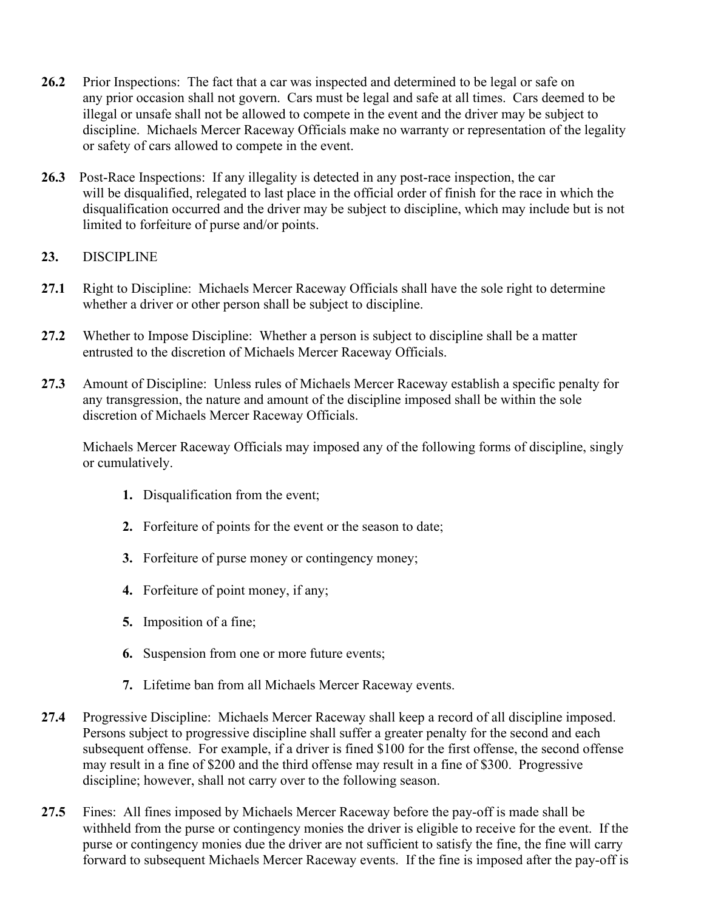- **26.2** Prior Inspections: The fact that a car was inspected and determined to be legal or safe on any prior occasion shall not govern. Cars must be legal and safe at all times. Cars deemed to be illegal or unsafe shall not be allowed to compete in the event and the driver may be subject to discipline. Michaels Mercer Raceway Officials make no warranty or representation of the legality or safety of cars allowed to compete in the event.
- **26.3** Post-Race Inspections: If any illegality is detected in any post-race inspection, the car will be disqualified, relegated to last place in the official order of finish for the race in which the disqualification occurred and the driver may be subject to discipline, which may include but is not limited to forfeiture of purse and/or points.

### **23.** DISCIPLINE

- **27.1** Right to Discipline: Michaels Mercer Raceway Officials shall have the sole right to determine whether a driver or other person shall be subject to discipline.
- **27.2** Whether to Impose Discipline: Whether a person is subject to discipline shall be a matter entrusted to the discretion of Michaels Mercer Raceway Officials.
- **27.3** Amount of Discipline: Unless rules of Michaels Mercer Raceway establish a specific penalty for any transgression, the nature and amount of the discipline imposed shall be within the sole discretion of Michaels Mercer Raceway Officials.

 Michaels Mercer Raceway Officials may imposed any of the following forms of discipline, singly or cumulatively.

- **1.** Disqualification from the event;
- **2.** Forfeiture of points for the event or the season to date;
- **3.** Forfeiture of purse money or contingency money;
- **4.** Forfeiture of point money, if any;
- **5.** Imposition of a fine;
- **6.** Suspension from one or more future events;
- **7.** Lifetime ban from all Michaels Mercer Raceway events.
- **27.4** Progressive Discipline: Michaels Mercer Raceway shall keep a record of all discipline imposed. Persons subject to progressive discipline shall suffer a greater penalty for the second and each subsequent offense. For example, if a driver is fined \$100 for the first offense, the second offense may result in a fine of \$200 and the third offense may result in a fine of \$300. Progressive discipline; however, shall not carry over to the following season.
- **27.5** Fines: All fines imposed by Michaels Mercer Raceway before the pay-off is made shall be withheld from the purse or contingency monies the driver is eligible to receive for the event. If the purse or contingency monies due the driver are not sufficient to satisfy the fine, the fine will carry forward to subsequent Michaels Mercer Raceway events. If the fine is imposed after the pay-off is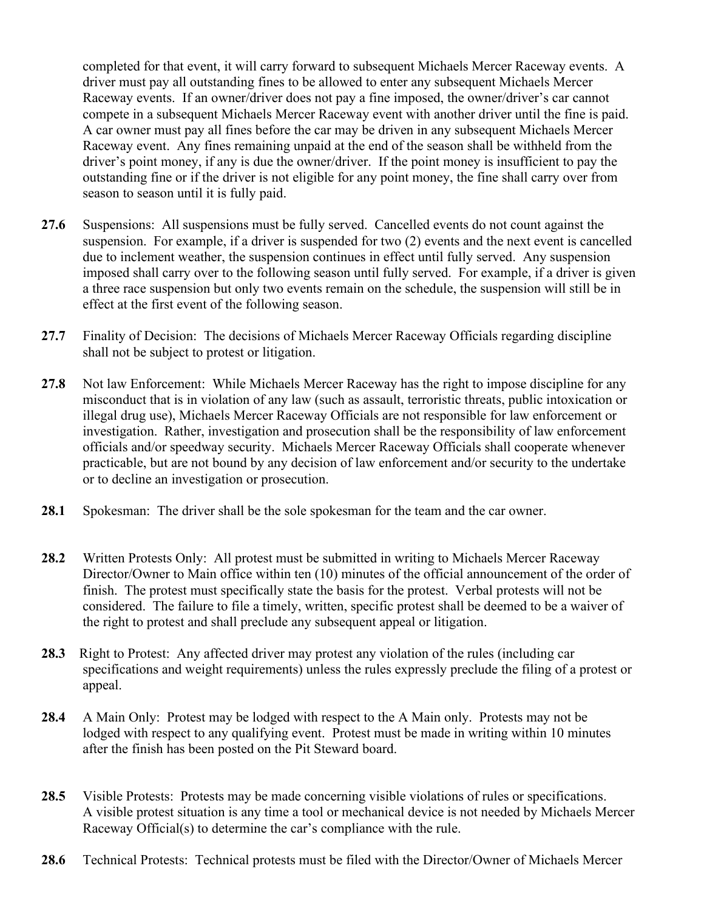completed for that event, it will carry forward to subsequent Michaels Mercer Raceway events. A driver must pay all outstanding fines to be allowed to enter any subsequent Michaels Mercer Raceway events. If an owner/driver does not pay a fine imposed, the owner/driver's car cannot compete in a subsequent Michaels Mercer Raceway event with another driver until the fine is paid. A car owner must pay all fines before the car may be driven in any subsequent Michaels Mercer Raceway event. Any fines remaining unpaid at the end of the season shall be withheld from the driver's point money, if any is due the owner/driver. If the point money is insufficient to pay the outstanding fine or if the driver is not eligible for any point money, the fine shall carry over from season to season until it is fully paid.

- **27.6** Suspensions: All suspensions must be fully served. Cancelled events do not count against the suspension. For example, if a driver is suspended for two (2) events and the next event is cancelled due to inclement weather, the suspension continues in effect until fully served. Any suspension imposed shall carry over to the following season until fully served. For example, if a driver is given a three race suspension but only two events remain on the schedule, the suspension will still be in effect at the first event of the following season.
- **27.7** Finality of Decision: The decisions of Michaels Mercer Raceway Officials regarding discipline shall not be subject to protest or litigation.
- **27.8** Not law Enforcement: While Michaels Mercer Raceway has the right to impose discipline for any misconduct that is in violation of any law (such as assault, terroristic threats, public intoxication or illegal drug use), Michaels Mercer Raceway Officials are not responsible for law enforcement or investigation. Rather, investigation and prosecution shall be the responsibility of law enforcement officials and/or speedway security. Michaels Mercer Raceway Officials shall cooperate whenever practicable, but are not bound by any decision of law enforcement and/or security to the undertake or to decline an investigation or prosecution.
- **28.1** Spokesman: The driver shall be the sole spokesman for the team and the car owner.
- **28.2** Written Protests Only: All protest must be submitted in writing to Michaels Mercer Raceway Director/Owner to Main office within ten (10) minutes of the official announcement of the order of finish. The protest must specifically state the basis for the protest. Verbal protests will not be considered. The failure to file a timely, written, specific protest shall be deemed to be a waiver of the right to protest and shall preclude any subsequent appeal or litigation.
- **28.3** Right to Protest: Any affected driver may protest any violation of the rules (including car specifications and weight requirements) unless the rules expressly preclude the filing of a protest or appeal.
- **28.4** A Main Only: Protest may be lodged with respect to the A Main only. Protests may not be lodged with respect to any qualifying event. Protest must be made in writing within 10 minutes after the finish has been posted on the Pit Steward board.
- **28.5** Visible Protests: Protests may be made concerning visible violations of rules or specifications. A visible protest situation is any time a tool or mechanical device is not needed by Michaels Mercer Raceway Official(s) to determine the car's compliance with the rule.
- **28.6** Technical Protests:Technical protests must be filed with the Director/Owner of Michaels Mercer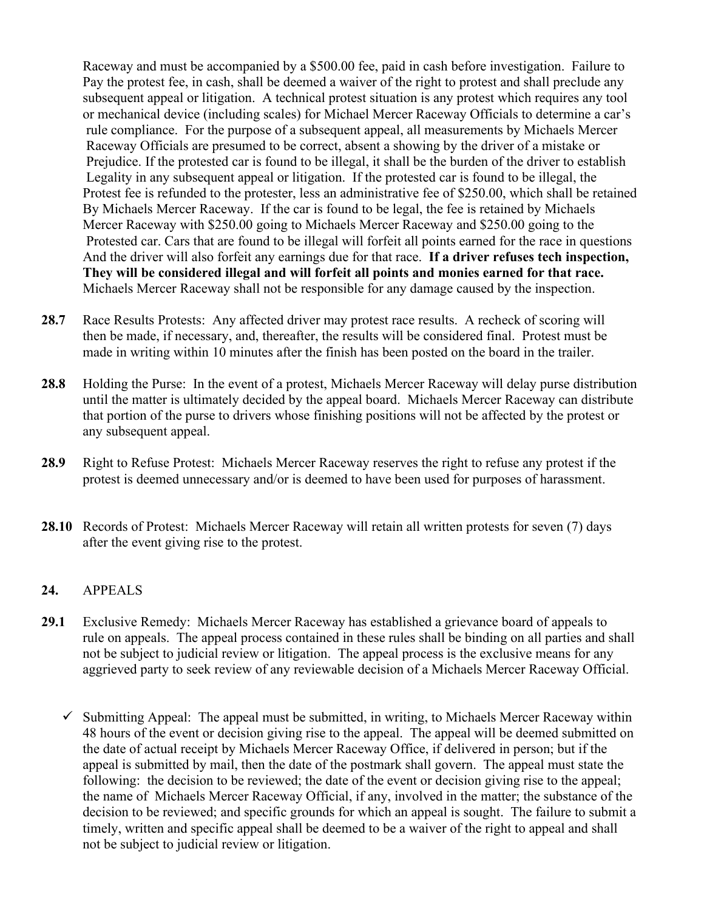Raceway and must be accompanied by a \$500.00 fee, paid in cash before investigation. Failure to Pay the protest fee, in cash, shall be deemed a waiver of the right to protest and shall preclude any subsequent appeal or litigation. A technical protest situation is any protest which requires any tool or mechanical device (including scales) for Michael Mercer Raceway Officials to determine a car's rule compliance. For the purpose of a subsequent appeal, all measurements by Michaels Mercer Raceway Officials are presumed to be correct, absent a showing by the driver of a mistake or Prejudice. If the protested car is found to be illegal, it shall be the burden of the driver to establish Legality in any subsequent appeal or litigation. If the protested car is found to be illegal, the Protest fee is refunded to the protester, less an administrative fee of \$250.00, which shall be retained By Michaels Mercer Raceway. If the car is found to be legal, the fee is retained by Michaels Mercer Raceway with \$250.00 going to Michaels Mercer Raceway and \$250.00 going to the Protested car. Cars that are found to be illegal will forfeit all points earned for the race in questions And the driver will also forfeit any earnings due for that race. **If a driver refuses tech inspection, They will be considered illegal and will forfeit all points and monies earned for that race.** Michaels Mercer Raceway shall not be responsible for any damage caused by the inspection.

- **28.7** Race Results Protests: Any affected driver may protest race results. A recheck of scoring will then be made, if necessary, and, thereafter, the results will be considered final. Protest must be made in writing within 10 minutes after the finish has been posted on the board in the trailer.
- **28.8** Holding the Purse: In the event of a protest, Michaels Mercer Raceway will delay purse distribution until the matter is ultimately decided by the appeal board. Michaels Mercer Raceway can distribute that portion of the purse to drivers whose finishing positions will not be affected by the protest or any subsequent appeal.
- **28.9** Right to Refuse Protest: Michaels Mercer Raceway reserves the right to refuse any protest if the protest is deemed unnecessary and/or is deemed to have been used for purposes of harassment.
- **28.10** Records of Protest: Michaels Mercer Raceway will retain all written protests for seven (7) days after the event giving rise to the protest.

#### **24.** APPEALS

- **29.1** Exclusive Remedy: Michaels Mercer Raceway has established a grievance board of appeals to rule on appeals. The appeal process contained in these rules shall be binding on all parties and shall not be subject to judicial review or litigation. The appeal process is the exclusive means for any aggrieved party to seek review of any reviewable decision of a Michaels Mercer Raceway Official.
	- $\checkmark$  Submitting Appeal: The appeal must be submitted, in writing, to Michaels Mercer Raceway within 48 hours of the event or decision giving rise to the appeal. The appeal will be deemed submitted on the date of actual receipt by Michaels Mercer Raceway Office, if delivered in person; but if the appeal is submitted by mail, then the date of the postmark shall govern. The appeal must state the following: the decision to be reviewed; the date of the event or decision giving rise to the appeal; the name of Michaels Mercer Raceway Official, if any, involved in the matter; the substance of the decision to be reviewed; and specific grounds for which an appeal is sought. The failure to submit a timely, written and specific appeal shall be deemed to be a waiver of the right to appeal and shall not be subject to judicial review or litigation.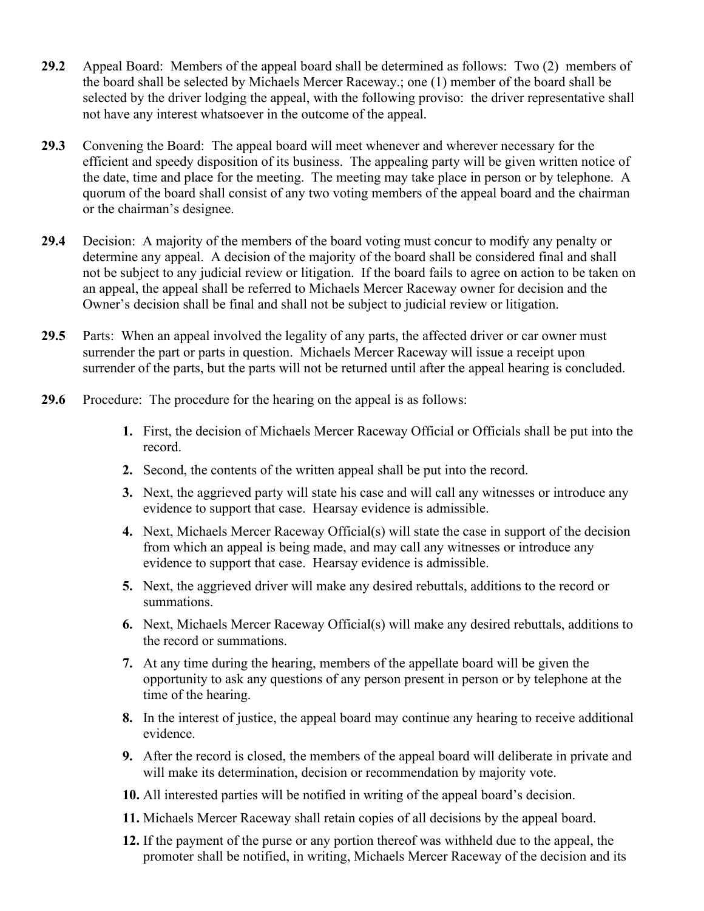- **29.2** Appeal Board: Members of the appeal board shall be determined as follows: Two (2) members of the board shall be selected by Michaels Mercer Raceway.; one (1) member of the board shall be selected by the driver lodging the appeal, with the following proviso: the driver representative shall not have any interest whatsoever in the outcome of the appeal.
- **29.3** Convening the Board: The appeal board will meet whenever and wherever necessary for the efficient and speedy disposition of its business. The appealing party will be given written notice of the date, time and place for the meeting. The meeting may take place in person or by telephone. A quorum of the board shall consist of any two voting members of the appeal board and the chairman or the chairman's designee.
- **29.4** Decision: A majority of the members of the board voting must concur to modify any penalty or determine any appeal. A decision of the majority of the board shall be considered final and shall not be subject to any judicial review or litigation. If the board fails to agree on action to be taken on an appeal, the appeal shall be referred to Michaels Mercer Raceway owner for decision and the Owner's decision shall be final and shall not be subject to judicial review or litigation.
- **29.5** Parts: When an appeal involved the legality of any parts, the affected driver or car owner must surrender the part or parts in question. Michaels Mercer Raceway will issue a receipt upon surrender of the parts, but the parts will not be returned until after the appeal hearing is concluded.
- **29.6** Procedure: The procedure for the hearing on the appeal is as follows:
	- **1.** First, the decision of Michaels Mercer Raceway Official or Officials shall be put into the record.
	- **2.** Second, the contents of the written appeal shall be put into the record.
	- **3.** Next, the aggrieved party will state his case and will call any witnesses or introduce any evidence to support that case. Hearsay evidence is admissible.
	- **4.** Next, Michaels Mercer Raceway Official(s) will state the case in support of the decision from which an appeal is being made, and may call any witnesses or introduce any evidence to support that case. Hearsay evidence is admissible.
	- **5.** Next, the aggrieved driver will make any desired rebuttals, additions to the record or summations.
	- **6.** Next, Michaels Mercer Raceway Official(s) will make any desired rebuttals, additions to the record or summations.
	- **7.** At any time during the hearing, members of the appellate board will be given the opportunity to ask any questions of any person present in person or by telephone at the time of the hearing.
	- **8.** In the interest of justice, the appeal board may continue any hearing to receive additional evidence.
	- **9.** After the record is closed, the members of the appeal board will deliberate in private and will make its determination, decision or recommendation by majority vote.
	- **10.** All interested parties will be notified in writing of the appeal board's decision.
	- **11.** Michaels Mercer Raceway shall retain copies of all decisions by the appeal board.
	- **12.** If the payment of the purse or any portion thereof was withheld due to the appeal, the promoter shall be notified, in writing, Michaels Mercer Raceway of the decision and its